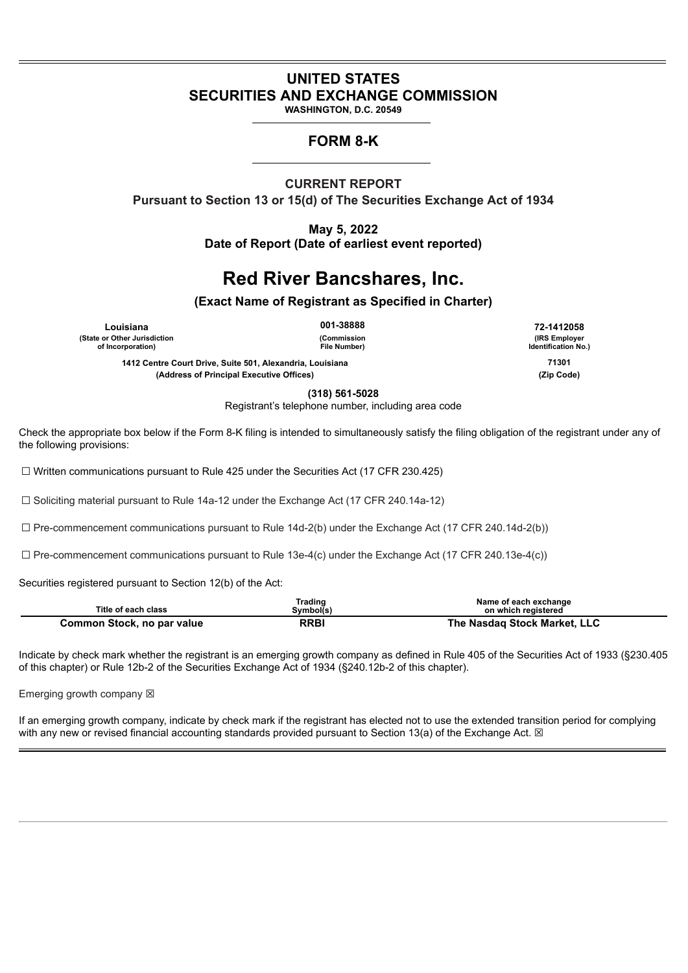# **UNITED STATES SECURITIES AND EXCHANGE COMMISSION**

**WASHINGTON, D.C. 20549**

## **FORM 8-K**

### **CURRENT REPORT**

**Pursuant to Section 13 or 15(d) of The Securities Exchange Act of 1934**

**May 5, 2022 Date of Report (Date of earliest event reported)**

# **Red River Bancshares, Inc.**

**(Exact Name of Registrant as Specified in Charter)**

**Louisiana 001-38888 72-1412058 (State or Other Jurisdiction of Incorporation)**

**(Commission File Number)**

**(IRS Employer Identification No.)**

**1412 Centre Court Drive, Suite 501, Alexandria, Louisiana 71301**

**(Address of Principal Executive Offices) (Zip Code)**

**(318) 561-5028** Registrant's telephone number, including area code

Check the appropriate box below if the Form 8-K filing is intended to simultaneously satisfy the filing obligation of the registrant under any of the following provisions:

☐ Written communications pursuant to Rule 425 under the Securities Act (17 CFR 230.425)

☐ Soliciting material pursuant to Rule 14a-12 under the Exchange Act (17 CFR 240.14a-12)

 $\Box$  Pre-commencement communications pursuant to Rule 14d-2(b) under the Exchange Act (17 CFR 240.14d-2(b))

 $\Box$  Pre-commencement communications pursuant to Rule 13e-4(c) under the Exchange Act (17 CFR 240.13e-4(c))

Securities registered pursuant to Section 12(b) of the Act:

| Title of each class        | <b>Frading</b><br>Svmbol(s) | Name of each exchange<br>on which reaistered |
|----------------------------|-----------------------------|----------------------------------------------|
| Common Stock, no par value | <b>RRBI</b>                 | The Nasdag Stock Market. LLC                 |

Indicate by check mark whether the registrant is an emerging growth company as defined in Rule 405 of the Securities Act of 1933 (§230.405 of this chapter) or Rule 12b-2 of the Securities Exchange Act of 1934 (§240.12b-2 of this chapter).

Emerging growth company  $\boxtimes$ 

If an emerging growth company, indicate by check mark if the registrant has elected not to use the extended transition period for complying with any new or revised financial accounting standards provided pursuant to Section 13(a) of the Exchange Act.  $\boxtimes$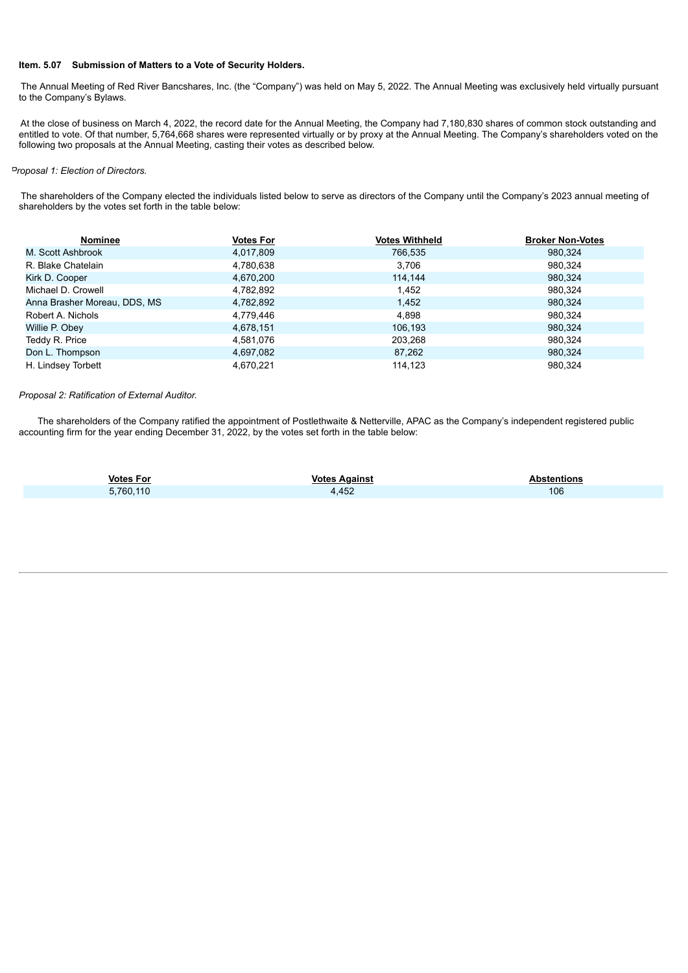#### **Item. 5.07 Submission of Matters to a Vote of Security Holders.**

The Annual Meeting of Red River Bancshares, Inc. (the "Company") was held on May 5, 2022. The Annual Meeting was exclusively held virtually pursuant to the Company's Bylaws.

At the close of business on March 4, 2022, the record date for the Annual Meeting, the Company had 7,180,830 shares of common stock outstanding and entitled to vote. Of that number, 5,764,668 shares were represented virtually or by proxy at the Annual Meeting. The Company's shareholders voted on the following two proposals at the Annual Meeting, casting their votes as described below.

#### *Proposal 1: Election of Directors.*

The shareholders of the Company elected the individuals listed below to serve as directors of the Company until the Company's 2023 annual meeting of shareholders by the votes set forth in the table below:

| <b>Nominee</b>               | <b>Votes For</b> | <b>Votes Withheld</b> | <b>Broker Non-Votes</b> |
|------------------------------|------------------|-----------------------|-------------------------|
| M. Scott Ashbrook            | 4,017,809        | 766.535               | 980.324                 |
| R. Blake Chatelain           | 4,780,638        | 3.706                 | 980.324                 |
| Kirk D. Cooper               | 4,670,200        | 114.144               | 980.324                 |
| Michael D. Crowell           | 4,782,892        | 1,452                 | 980,324                 |
| Anna Brasher Moreau, DDS, MS | 4,782,892        | 1.452                 | 980.324                 |
| Robert A. Nichols            | 4,779,446        | 4.898                 | 980,324                 |
| Willie P. Obey               | 4.678.151        | 106.193               | 980.324                 |
| Teddy R. Price               | 4,581,076        | 203.268               | 980.324                 |
| Don L. Thompson              | 4,697,082        | 87.262                | 980,324                 |
| H. Lindsey Torbett           | 4.670.221        | 114,123               | 980,324                 |

#### *Proposal 2: Ratification of External Auditor.*

The shareholders of the Company ratified the appointment of Postlethwaite & Netterville, APAC as the Company's independent registered public accounting firm for the year ending December 31, 2022, by the votes set forth in the table below:

| <b>Votes For</b> | <b>Votes Against</b> | <b>Abstentions</b> |
|------------------|----------------------|--------------------|
| 5,760,110        | 4,452                | 106                |